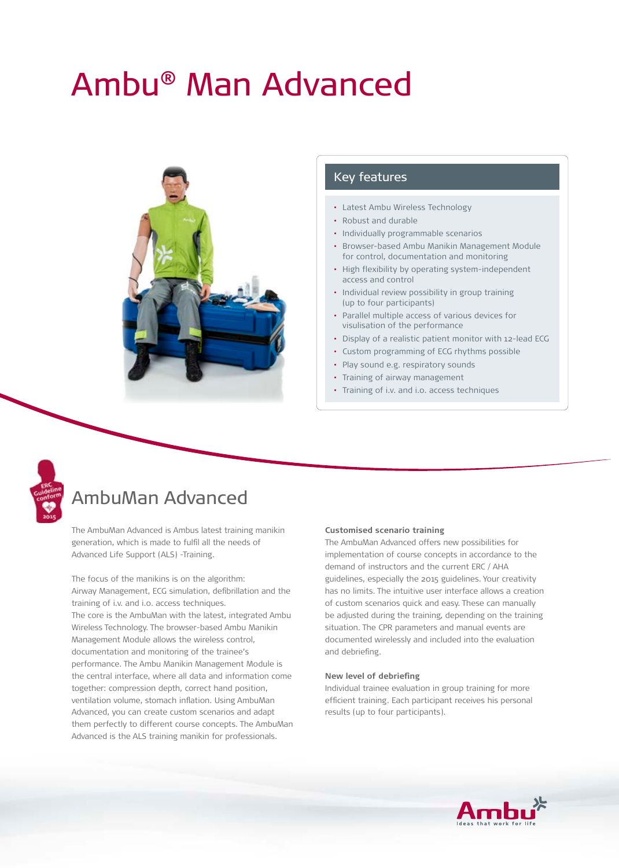# Ambu® Man Advanced



#### Key features

- Latest Ambu Wireless Technology
- Robust and durable
- Individually programmable scenarios
- Browser-based Ambu Manikin Management Module for control, documentation and monitoring
- High flexibility by operating system-independent access and control
- Individual review possibility in group training (up to four participants)
- Parallel multiple access of various devices for visulisation of the performance
- Display of a realistic patient monitor with 12-lead ECG
- Custom programming of ECG rhythms possible
- Play sound e.g. respiratory sounds
- Training of airway management
- Training of i.v. and i.o. access techniques



# AmbuMan Advanced

The AmbuMan Advanced is Ambus latest training manikin generation, which is made to fulfil all the needs of Advanced Life Support (ALS) -Training.

The focus of the manikins is on the algorithm: Airway Management, ECG simulation, defibrillation and the training of i.v. and i.o. access techniques. The core is the AmbuMan with the latest, integrated Ambu Wireless Technology. The browser-based Ambu Manikin Management Module allows the wireless control, documentation and monitoring of the trainee's performance. The Ambu Manikin Management Module is the central interface, where all data and information come together: compression depth, correct hand position, ventilation volume, stomach inflation. Using AmbuMan Advanced, you can create custom scenarios and adapt them perfectly to different course concepts. The AmbuMan Advanced is the ALS training manikin for professionals.

#### **Customised scenario training**

The AmbuMan Advanced offers new possibilities for implementation of course concepts in accordance to the demand of instructors and the current ERC / AHA guidelines, especially the 2015 guidelines. Your creativity has no limits. The intuitive user interface allows a creation of custom scenarios quick and easy. These can manually be adjusted during the training, depending on the training situation. The CPR parameters and manual events are documented wirelessly and included into the evaluation and debriefing.

#### **New level of debriefing**

Individual trainee evaluation in group training for more efficient training. Each participant receives his personal results (up to four participants).